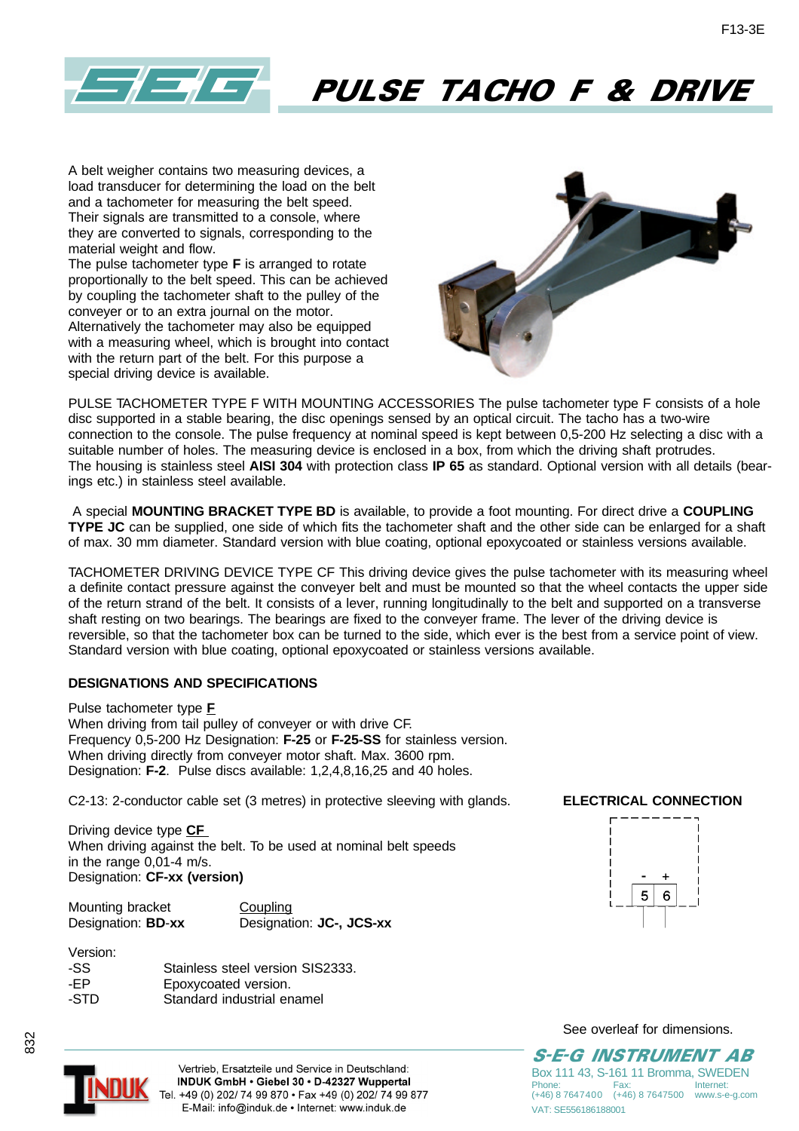

# PULSE TACHO F & DRIVE

A belt weigher contains two measuring devices, a load transducer for determining the load on the belt and a tachometer for measuring the belt speed. Their signals are transmitted to a console, where they are converted to signals, corresponding to the material weight and flow.

The pulse tachometer type **F** is arranged to rotate proportionally to the belt speed. This can be achieved by coupling the tachometer shaft to the pulley of the conveyer or to an extra journal on the motor. Alternatively the tachometer may also be equipped with a measuring wheel, which is brought into contact with the return part of the belt. For this purpose a special driving device is available.



PULSE TACHOMETER TYPE F WITH MOUNTING ACCESSORIES The pulse tachometer type F consists of a hole disc supported in a stable bearing, the disc openings sensed by an optical circuit. The tacho has a two-wire connection to the console. The pulse frequency at nominal speed is kept between 0,5-200 Hz selecting a disc with a suitable number of holes. The measuring device is enclosed in a box, from which the driving shaft protrudes. The housing is stainless steel **AISI 304** with protection class **IP 65** as standard. Optional version with all details (bearings etc.) in stainless steel available.

 A special **MOUNTING BRACKET TYPE BD** is available, to provide a foot mounting. For direct drive a **COUPLING TYPE JC** can be supplied, one side of which fits the tachometer shaft and the other side can be enlarged for a shaft of max. 30 mm diameter. Standard version with blue coating, optional epoxycoated or stainless versions available.

TACHOMETER DRIVING DEVICE TYPE CF This driving device gives the pulse tachometer with its measuring wheel a definite contact pressure against the conveyer belt and must be mounted so that the wheel contacts the upper side of the return strand of the belt. It consists of a lever, running longitudinally to the belt and supported on a transverse shaft resting on two bearings. The bearings are fixed to the conveyer frame. The lever of the driving device is reversible, so that the tachometer box can be turned to the side, which ever is the best from a service point of view. Standard version with blue coating, optional epoxycoated or stainless versions available.

### **DESIGNATIONS AND SPECIFICATIONS**

Pulse tachometer type **F** When driving from tail pulley of conveyer or with drive CF. Frequency 0,5-200 Hz Designation: **F-25** or **F-25-SS** for stainless version. When driving directly from conveyer motor shaft. Max. 3600 rpm. Designation: **F-2**. Pulse discs available: 1,2,4,8,16,25 and 40 holes.

C2-13: 2-conductor cable set (3 metres) in protective sleeving with glands. **ELECTRICAL CONNECTION**

Driving device type **CF**  When driving against the belt. To be used at nominal belt speeds in the range 0,01-4 m/s. Designation: **CF-xx (version)**

Mounting bracket Coupling Designation: **BD**-**xx** Designation: **JC-, JCS-xx**

| Version: |                                  |
|----------|----------------------------------|
| -SS.     | Stainless steel version SIS2333. |
| -FP      | Epoxycoated version.             |
| -STD     | Standard industrial enamel       |



See overleaf for dimensions.



832

Vertrieb, Ersatzteile und Service in Deutschland: INDUK GmbH · Giebel 30 · D-42327 Wuppertal Tel. +49 (0) 202/ 74 99 870 · Fax +49 (0) 202/ 74 99 877 E-Mail: info@induk.de · Internet: www.induk.de

S-E-G INSTRUMENT AB Box 111 43, S-161 11 Bromma, SWEDEN<br>Phone: Fax: Internet: Phone: Fax: Internet: (+46) 8 7647400 (+46) 8 7647500 www.s-e-g.com VAT: SE556186188001